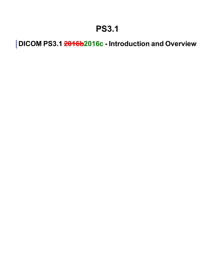# **PS3.1**

**DICOM PS3.1 2016b2016c - Introduction and Overview**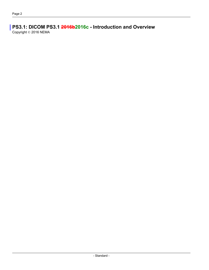### **PS3.1: DICOM PS3.1 2016b2016c - Introduction and Overview**

Copyright © 2016 NEMA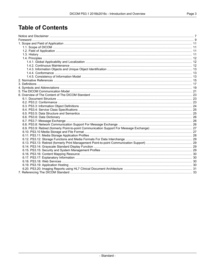### **Table of Contents**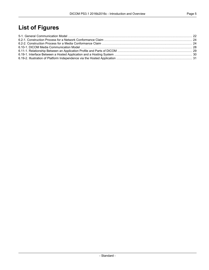## **List of Figures**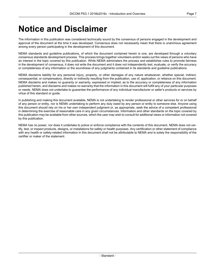# <span id="page-6-0"></span>**Notice and Disclaimer**

The information in this publication was considered technically sound by the consensus of persons engaged in the development and approval of the document at the time it was developed. Consensus does not necessarily mean that there is unanimous agreement among every person participating in the development of this document.

NEMA standards and guideline publications, of which the document contained herein is one, are developed through a voluntary consensus standards development process. This process brings together volunteers and/or seeks out the views of persons who have an interest in the topic covered by this publication. While NEMA administers the process and establishes rules to promote fairness in the development of consensus, it does not write the document and it does not independently test, evaluate, or verify the accuracy or completeness of any information or the soundness of any judgments contained in its standards and guideline publications.

NEMA disclaims liability for any personal injury, property, or other damages of any nature whatsoever, whether special, indirect, consequential, or compensatory, directly or indirectly resulting from the publication, use of, application, or reliance on this document. NEMA disclaims and makes no guaranty or warranty, expressed or implied, as to the accuracy or completeness of any information published herein, and disclaims and makes no warranty that the information in this document will fulfill any of your particular purposes or needs. NEMA does not undertake to guarantee the performance of any individual manufacturer or seller's products or services by virtue of this standard or guide.

In publishing and making this document available, NEMA is not undertaking to render professional or other services for or on behalf of any person or entity, nor is NEMA undertaking to perform any duty owed by any person or entity to someone else. Anyone using this document should rely on his or her own independent judgment or, as appropriate, seek the advice of a competent professional in determining the exercise of reasonable care in any given circumstances. Information and other standards on the topic covered by this publication may be available from other sources, which the user may wish to consult for additional views or information not covered by this publication.

NEMA has no power, nor does it undertake to police or enforce compliance with the contents of this document. NEMA does not certify, test, or inspect products, designs, or installations for safety or health purposes. Any certification or other statement of compliance with any health or safety-related information in this document shall not be attributable to NEMA and is solely the responsibility of the certifier or maker of the statement.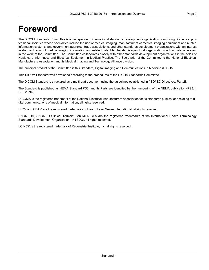## <span id="page-8-0"></span>**Foreword**

The DICOM Standards Committee is an independent, international standards development organization comprising biomedical professional societies whose specialties include the use of medical imaging, manufacturers of medical imaging equipment and related information systems, and government agencies, trade associations, and other standards development organizations with an interest in standardization of medical imaging information and related data. Membership is open to all organizations with a material interest in the work of the Committee. The Committee collaborates closely with other standards development organizations in the fields of Healthcare Informatics and Electrical Equipment in Medical Practice. The Secretariat of the Committee is the National Electrical Manufacturers Association and its Medical Imaging and Technology Alliance division.

The principal product of the Committee is this Standard, Digital Imaging and Communications in Medicine (DICOM).

This DICOM Standard was developed according to the procedures of the DICOM Standards Committee.

The DICOM Standard is structured as a multi-part document using the guidelines established in [ISO/IEC [Directives,](#page-14-1) Part 2].

The Standard is published as NEMA Standard PS3, and its Parts are identified by the numbering of the NEMA publication (PS3.1, PS3.2, etc.).

DICOM® is the registered trademark of the National Electrical Manufacturers Association for its standards publications relating to digital communications of medical information, all rights reserved.

HL7® and CDA® are the registered trademarks of Health Level Seven International, all rights reserved.

SNOMED®, SNOMED Clinical Terms®, SNOMED CT® are the registered trademarks of the International Health Terminology Standards Development Organisation (IHTSDO), all rights reserved.

LOINC® is the registered trademark of Regenstrief Institute, Inc, all rights reserved.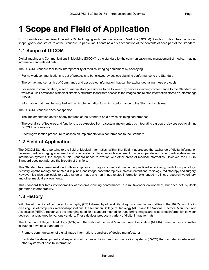# <span id="page-10-0"></span>**1 Scope and Field of Application**

<span id="page-10-1"></span>PS3.1 provides an overview of the entire Digital Imaging and Communications in Medicine (DICOM) Standard. It describes the history, scope, goals, and structure of the Standard. In particular, it contains a brief description of the contents of each part of the Standard.

### **1.1 Scope of DICOM**

Digital Imaging and Communications in Medicine (DICOM) is the standard for the communication and management of medical imaging information and related data.

The DICOM Standard facilitates interoperability of medical imaging equipment by specifying:

- For network communications, a set of protocols to be followed by devices claiming conformance to the Standard.
- The syntax and semantics of Commands and associated information that can be exchanged using these protocols.
- For media communication, a set of media storage services to be followed by devices claiming conformance to the Standard, as well as a File Format and a medical directory structure to facilitate access to the images and related information stored on interchange media.
- Information that must be supplied with an implementation for which conformance to the Standard is claimed.

The DICOM Standard does not specify:

- The implementation details of any features of the Standard on a device claiming conformance.
- <span id="page-10-2"></span>• The overall set of features and functions to be expected from a system implemented by integrating a group of devices each claiming DICOM conformance.
- A testing/validation procedure to assess an implementation's conformance to the Standard.

### **1.2 Field of Application**

The DICOM Standard pertains to the field of Medical Informatics. Within that field, it addresses the exchange of digital information between medical imaging equipment and other systems. Because such equipment may interoperate with other medical devices and information systems, the scope of this Standard needs to overlap with other areas of medical informatics. However, the DICOM Standard does not address the breadth of this field.

<span id="page-10-3"></span>This Standard has been developed with an emphasis on diagnostic medical imaging as practiced in radiology, cardiology, pathology, dentistry, ophthalmology and related disciplines, and image-based therapies such as interventional radiology, radiotherapy and surgery. However, it is also applicable to a wide range of image and non-image related information exchanged in clinical, research, veterinary, and other medical environments.

This Standard facilitates interoperability of systems claiming conformance in a multi-vendor environment, but does not, by itself, guarantee interoperability.

### **1.3 History**

With the introduction of computed tomography (CT) followed by other digital diagnostic imaging modalities in the 1970's, and the increasing use of computers in clinical applications, the American College of Radiology (ACR) and the National Electrical Manufacturers Association (NEMA) recognized the emerging need for a standard method for transferring images and associated information between devices manufactured by various vendors. These devices produce a variety of digital image formats.

The American College of Radiology (ACR) and the National Electrical Manufacturers Association (NEMA) formed a joint committee in 1983 to develop a standard to:

- Promote communication of digital image information, regardless of device manufacturer
- Facilitate the development and expansion of picture archiving and communication systems (PACS) that can also interface with other systems of hospital information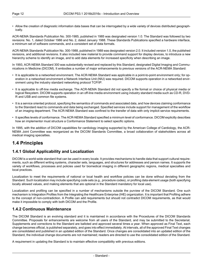• Allow the creation of diagnostic information data bases that can be interrogated by a wide variety of devices distributed geographically.

ACR-NEMA Standards Publication No. 300-1985, published in 1985 was designated version 1.0. The Standard was followed by two revisions: No. 1, dated October 1986 and No. 2, dated January 1988. These Standards Publications specified a hardware interface, a minimum set of software commands, and a consistent set of data formats.

ACR-NEMA Standards Publication No. 300-1988, published in 1988 was designated version 2.0. It included version 1.0, the published revisions, and additional revisions. It also included new material to provide command support for display devices, to introduce a new hierarchy scheme to identify an image, and to add data elements for increased specificity when describing an image.

In 1993, ACR-NEMA Standard 300 was substantially revised and replaced by this Standard, designated Digital Imaging and Communications in Medicine (DICOM). It embodies a number of major enhancements to previous versions of the ACR-NEMA Standard:

- It is applicable to a networked environment. The ACR-NEMA Standard was applicable in a point-to-point environment only; for operation in a networked environment a Network Interface Unit (NIU) was required. DICOM supports operation in a networked environment using the industry standard networking protocol TCP/IP.
- It is applicable to off-line media exchange. The ACR-NEMA Standard did not specify a file format or choice of physical media or logical filesystem. DICOM supports operation in an off-line media environment using industry standard media such as CD-R, DVD-R and USB and common file systems.
- It is a service oriented protocol, specifying the semantics of commands and associated data, and how devices claiming conformance to the Standard react to commands and data being exchanged. Specified services include support for management of the workflow of an imaging department. The ACR-NEMA Standard was confined to the transfer of data with only implicit service requirements.
- It specifies levels of conformance. The ACR-NEMA Standard specified a minimum level of conformance. DICOM explicitly describes how an implementor must structure a Conformance Statement to select specific options.

<span id="page-11-1"></span><span id="page-11-0"></span>In 1995, with the addition of DICOM capabilities for cardiology imaging supported by the American College of Cardiology, the ACR-NEMA Joint Committee was reorganized as the DICOM Standards Committee, a broad collaboration of stakeholders across all medical imaging specialties.

### **1.4 Principles**

#### **1.4.1 Global Applicability and Localization**

DICOM is a world-wide standard that can be used in every locale. It provides mechanisms to handle data that support cultural requirements, such as different writing systems, character sets, languages, and structures for addresses and person names. It supports the variety of workflows, processes and policies used for biomedical imaging in different geographic regions, medical specialties and local practices.

Localization to meet the requirements of national or local health and workflow policies can be done without deviating from the Standard. Such localization may include specifying code sets (e.g., procedure codes), or profiling data element usage (both specifying locally allowed values, and making elements that are optional in the Standard mandatory for local use).

<span id="page-11-2"></span>Localization and profiling can be specified in a number of mechanisms outside the purview of the DICOM Standard. One such mechanism is Integration Profiles from the Integrating the Healthcare Enterprise (IHE) organization. It is important that Profiling adhere to the concept of non-contradiction. A Profile can add requirements but should not contradict DICOM requirements, as that would make it impossible to comply with both DICOM and the Profile.

#### **1.4.2 Continuous Maintenance**

The DICOM Standard is an evolving standard and it is maintained in accordance with the Procedures of the DICOM Standards Committee. Proposals for enhancements are welcome from all users of the Standard, and may be submitted to the Secretariat. Supplements and corrections to the Standard are balloted and approved several times a year. When approved as Final Text, each change becomes official, is published separately, and goes into effect immediately. At intervals, all of the approved Final Text changes are consolidated and published in an updated edition of the Standard. Once changes are consolidated into an updated edition of the Standard, the individual change documents are not maintained; readers are directed to use the consolidated edition of the Standard.

A requirement in updating the Standard is to maintain effective compatibility with previous editions.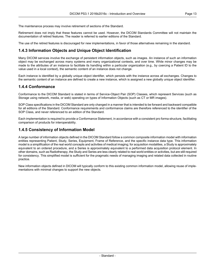The maintenance process may involve retirement of sections of the Standard.

Retirement does not imply that these features cannot be used. However, the DICOM Standards Committee will not maintain the documentation of retired features. The reader is referred to earlier editions of the Standard.

<span id="page-12-0"></span>The use of the retired features is discouraged for new implementations, in favor of those alternatives remaining in the standard.

#### **1.4.3 Information Objects and Unique Object Identification**

Many DICOM services involve the exchange of persistent information objects, such as images. An instance of such an information object may be exchanged across many systems and many organizational contexts, and over time. While minor changes may be made to the attributes of an instance to facilitate its handling within a particular organization (e.g., by coercing a Patient ID to the value used in a local context), the semantic content of an instance does not change.

<span id="page-12-1"></span>Each instance is identified by a globally unique object identifier, which persists with the instance across all exchanges. Changes to the semantic content of an instance are defined to create a new instance, which is assigned a new globally unique object identifier.

#### **1.4.4 Conformance**

Conformance to the DICOM Standard is stated in terms of Service-Object Pair (SOP) Classes, which represent Services (such as Storage using network, media, or web) operating on types of Information Objects (such as CT or MR images).

SOP Class specifications in the DICOM Standard are only changed in a manner that is intended to be forward and backward compatible for all editions of the Standard. Conformance requirements and conformance claims are therefore referenced to the identifier of the SOP Class, and never referenced to an edition of the Standard.

<span id="page-12-2"></span>Each implementation is required to provide a Conformance Statement, in accordance with a consistent pro forma structure, facilitating comparison of products for interoperability.

#### **1.4.5 Consistency of Information Model**

A large number of information objects defined in the DICOM Standard follow a common composite information model with information entities representing Patient, Study, Series, Equipment, Frame of Reference, and the specific instance data type. This information model is a simplification of the real world concepts and activities of medical imaging; for acquisition modalities, a Study is approximately equivalent to an ordered procedure, and a Series is approximately equivalent to a performed data acquisition protocol element. In other domains, such as Radiotherapy, the Study and Series are less clearly related to real world entities or activities, but are still required for consistency. This simplified model is sufficient for the pragmatic needs of managing imaging and related data collected in routine practice.

New information objects defined in DICOM will typically conform to this existing common information model, allowing reuse of implementations with minimal changes to support the new objects.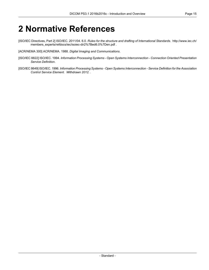## <span id="page-14-0"></span>**2 Normative References**

- <span id="page-14-1"></span>[ISO/IEC Directives, Part 2] ISO/IEC. 2011/04. 6.0. *Rules for the structure and drafting of International Standards*. [http://www.iec.ch/](http://www.iec.ch/members_experts/refdocs/iec/isoiec-dir2%7Bed6.0%7Den.pdf) [members\\_experts/refdocs/iec/isoiec-dir2%7Bed6.0%7Den.pdf](http://www.iec.ch/members_experts/refdocs/iec/isoiec-dir2%7Bed6.0%7Den.pdf) .
- [ACR/NEMA 300] ACR/NEMA. 1988. *Digital Imaging and Communications*.
- [ISO/IEC 8822] ISO/IEC. 1994. *Information Processing Systems - Open Systems Interconnection - Connection Oriented Presentation Service Definition*.
- [ISO/IEC 8649] ISO/IEC. 1996. *Information Processing Systems - Open Systems Interconnection - Service Definition for the Association Control Service Element*. *Withdrawn 2012.* .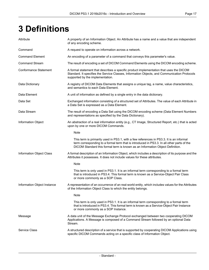# <span id="page-16-0"></span>**3 Definitions**

| Attribute                    | A property of an Information Object. An Attribute has a name and a value that are independent<br>of any encoding scheme.                                                                                                                                               |
|------------------------------|------------------------------------------------------------------------------------------------------------------------------------------------------------------------------------------------------------------------------------------------------------------------|
| Command                      | A request to operate on information across a network.                                                                                                                                                                                                                  |
| <b>Command Element</b>       | An encoding of a parameter of a command that conveys this parameter's value.                                                                                                                                                                                           |
| <b>Command Stream</b>        | The result of encoding a set of DICOM Command Elements using the DICOM encoding scheme.                                                                                                                                                                                |
| <b>Conformance Statement</b> | A formal statement that describes a specific product implementation that uses the DICOM<br>Standard. It specifies the Service Classes, Information Objects, and Communication Protocols<br>supported by the implementation.                                            |
| Data Dictionary              | A registry of DICOM Data Elements that assigns a unique tag, a name, value characteristics,<br>and semantics to each Data Element.                                                                                                                                     |
| Data Element                 | A unit of information as defined by a single entry in the data dictionary.                                                                                                                                                                                             |
| Data Set                     | Exchanged information consisting of a structured set of Attributes. The value of each Attribute in<br>a Data Set is expressed as a Data Element.                                                                                                                       |
| Data Stream                  | The result of encoding a Data Set using the DICOM encoding scheme (Data Element Numbers<br>and representations as specified by the Data Dictionary).                                                                                                                   |
| Information Object           | An abstraction of a real information entity (e.g., CT Image, Structured Report, etc.) that is acted<br>upon by one or more DICOM Commands.                                                                                                                             |
|                              | Note                                                                                                                                                                                                                                                                   |
|                              | This term is primarily used in PS3.1, with a few references in PS3.3. It is an informal<br>term corresponding to a formal term that is introduced in PS3.3. In all other parts of the<br>DICOM Standard this formal term is known as an Information Object Definition. |
| Information Object Class     | A formal description of an Information Object, which includes a description of its purpose and the<br>Attributes it possesses. It does not include values for these attributes.                                                                                        |
|                              | Note                                                                                                                                                                                                                                                                   |
|                              | This term is only used in PS3.1. It is an informal term corresponding to a formal term<br>that is introduced in PS3.4. This formal term is known as a Service-Object Pair Class<br>or more commonly as a SOP Class.                                                    |
| Information Object Instance  | A representation of an occurrence of an real-world entity, which includes values for the Attributes<br>of the Information Object Class to which the entity belongs.                                                                                                    |
|                              | <b>Note</b>                                                                                                                                                                                                                                                            |
|                              | This term is only used in PS3.1. It is an informal term corresponding to a formal term<br>that is introduced in PS3.4. This formal term is known as a Service-Object Pair Instance<br>or more commonly as a SOP Instance.                                              |
| Message                      | A data unit of the Message Exchange Protocol exchanged between two cooperating DICOM<br>Applications. A Message is composed of a Command Stream followed by an optional Data<br>Stream.                                                                                |
| Service Class                | A structured description of a service that is supported by cooperating DICOM Applications using<br>specific DICOM Commands acting on a specific class of Information Object.                                                                                           |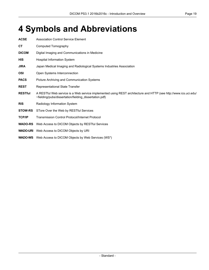# <span id="page-18-0"></span>**4 Symbols and Abbreviations**

| <b>ACSE</b>    | <b>Association Control Service Element</b>                                                                                                                                 |
|----------------|----------------------------------------------------------------------------------------------------------------------------------------------------------------------------|
| СT             | Computed Tomography                                                                                                                                                        |
| <b>DICOM</b>   | Digital Imaging and Communications in Medicine                                                                                                                             |
| <b>HIS</b>     | <b>Hospital Information System</b>                                                                                                                                         |
| <b>JIRA</b>    | Japan Medical Imaging and Radiological Systems Industries Association                                                                                                      |
| <b>OSI</b>     | Open Systems Interconnection                                                                                                                                               |
| <b>PACS</b>    | Picture Archiving and Communication Systems                                                                                                                                |
| <b>REST</b>    | Representational State Transfer                                                                                                                                            |
| <b>RESTful</b> | A RESTful Web service is a Web service implemented using REST architecture and HTTP (see http://www.ics.uci.edu/<br>~fielding/pubs/dissertation/fielding_dissertation.pdf) |
| <b>RIS</b>     | Radiology Information System                                                                                                                                               |
| <b>STOW-RS</b> | STore Over the Web by RESTful Services                                                                                                                                     |
| <b>TCP/IP</b>  | <b>Transmission Control Protocol/Internet Protocol</b>                                                                                                                     |
| <b>WADO-RS</b> | Web Access to DICOM Objects by RESTful Services                                                                                                                            |
|                | <b>WADO-URI</b> Web Access to DICOM Objects by URI                                                                                                                         |
|                | <b>WADO-WS</b> Web Access to DICOM Objects by Web Services (WS*)                                                                                                           |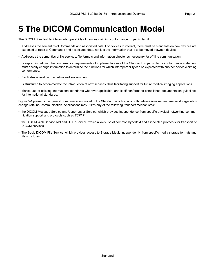# <span id="page-20-0"></span>**5 The DICOM Communication Model**

The DICOM Standard facilitates interoperability of devices claiming conformance. In particular, it:

- Addresses the semantics of Commands and associated data. For devices to interact, there must be standards on how devices are expected to react to Commands and associated data, not just the information that is to be moved between devices.
- Addresses the semantics of file services, file formats and information directories necessary for off-line communication.
- Is explicit in defining the conformance requirements of implementations of the Standard. In particular, a conformance statement must specify enough information to determine the functions for which interoperability can be expected with another device claiming conformance.
- Facilitates operation in a networked environment.
- Is structured to accommodate the introduction of new services, thus facilitating support for future medical imaging applications.
- Makes use of existing international standards wherever applicable, and itself conforms to established documentation guidelines for international standards.

[Figure](#page-21-0) 5-1 presents the general communication model of the Standard, which spans both network (on-line) and media storage interchange (off-line) communication. Applications may utilize any of the following transport mechanisms:

- the DICOM Message Service and Upper Layer Service, which provides independence from specific physical networking communication support and protocols such as TCP/IP.
- the DICOM Web Service API and HTTP Service, which allows use of common hypertext and associated protocols for transport of DICOM services
- The Basic DICOM File Service, which provides access to Storage Media independently from specific media storage formats and file structures.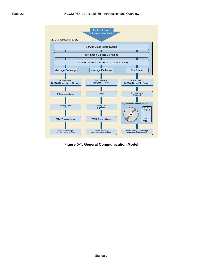<span id="page-21-0"></span>

**Figure 5-1. General Communication Model**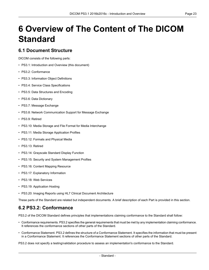# <span id="page-22-0"></span>**6 Overview of The Content of The DICOM Standard**

#### <span id="page-22-1"></span>**6.1 Document Structure**

DICOM consists of the following parts:

- PS3.1: Introduction and Overview (this document)
- PS3.2: [Conformance](part02.pdf#PS3.2)
- PS3.3: [Information](part03.pdf#PS3.3) Object Definitions
- PS3.4: Service Class [Specifications](part04.pdf#PS3.4)
- PS3.5: Data [Structures](part05.pdf#PS3.5) and Encoding
- PS3.6: Data [Dictionary](part06.pdf#PS3.6)
- PS3.7: Message [Exchange](part07.pdf#PS3.7)
- PS3.8: Network [Communication](part08.pdf#PS3.8) Support for Message Exchange
- PS3.9: Retired
- PS3.10: Media Storage and File Format for Media [Interchange](part10.pdf#PS3.10)
- PS3.11: Media Storage [Application](part11.pdf#PS3.11) Profiles
- PS3.12: Formats and [Physical](part12.pdf#PS3.12) Media
- PS3.13: Retired
- PS3.14: [Grayscale](part14.pdf#PS3.14) Standard Display Function
- PS3.15: Security and System [Management](part15.pdf#PS3.15) Profiles
- PS3.16: Content Mapping [Resource](part16.pdf#PS3.16)
- PS3.17: [Explanatory](part17.pdf#PS3.17) Information
- PS3.18: Web [Services](part18.pdf#PS3.18)
- <span id="page-22-2"></span>• PS3.19: [Application](part19.pdf#PS3.19) Hosting
- PS3.20: Imaging Reports using HL7 Clinical Document [Architecture](part20.pdf#PS3.20)

These parts of the Standard are related but independent documents. A brief description of each Part is provided in this section.

### **6.2 PS3.2: Conformance**

[PS3.2](part02.pdf#PS3.2) of the DICOM Standard defines principles that implementations claiming conformance to the Standard shall follow:

- Conformance requirements. [PS3.2](part02.pdf#PS3.2) specifies the general requirements that must be met by any implementation claiming conformance. It references the conformance sections of other parts of the Standard.
- Conformance Statement. [PS3.2](part02.pdf#PS3.2) defines the structure of a Conformance Statement. It specifies the information that must be present in a Conformance Statement. It references the Conformance Statement sections of other parts of the Standard.

[PS3.2](part02.pdf#PS3.2) does not specify a testing/validation procedure to assess an implementation's conformance to the Standard.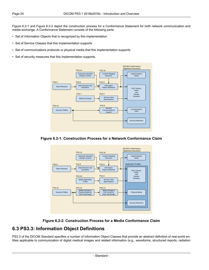[Figure](#page-23-1) 6.2-1 and [Figure](#page-23-2) 6.2-2 depict the construction process for a Conformance Statement for both network communication and media exchange. A Conformance Statement consists of the following parts:

- Set of Information Objects that is recognized by this implementation
- Set of Service Classes that this implementation supports
- Set of communications protocols or physical media that this implementation supports
- <span id="page-23-1"></span>• Set of security measures that this implementation supports.



<span id="page-23-2"></span>





#### <span id="page-23-0"></span>**6.3 PS3.3: Information Object Definitions**

[PS3.3](part03.pdf#PS3.3) of the DICOM Standard specifies a number of Information Object Classes that provide an abstract definition of real-world entities applicable to communication of digital medical images and related information (e.g., waveforms, structured reports, radiation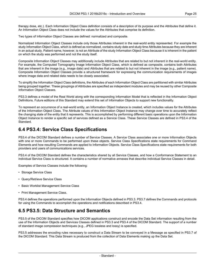therapy dose, etc.). Each Information Object Class definition consists of a description of its purpose and the Attributes that define it. An Information Object Class does not include the values for the Attributes that comprise its definition.

Two types of Information Object Classes are defined: normalized and composite.

Normalized Information Object Classes include only those Attributes inherent in the real-world entity represented. For example the study Information Object Class, which is defined as normalized, contains study date and study time Attributes because they are inherent in an actual study. Patient name, however, is not an Attribute of the study Information Object Class because it is inherent in the patient on which the study was performed and not the study itself.

Composite Information Object Classes may additionally include Attributes that are related to but not inherent in the real-world entity. For example, the Computed Tomography Image Information Object Class, which is defined as composite, contains both Attributes that are inherent in the image (e.g., image date) and Attributes that are related to but not inherent in the image (e.g., patient name). Composite Information Object Classes provide a structured framework for expressing the communication requirements of images where image data and related data needs to be closely associated.

To simplify the Information Object Class definitions, the Attributes of each Information Object Class are partitioned with similar Attributes being grouped together. These groupings of Attributes are specified as independent modules and may be reused by other Composite Information Object Classes.

[PS3.3](part03.pdf#PS3.3) defines a model of the Real World along with the corresponding Information Model that is reflected in the Information Object Definitions. Future editions of this Standard may extend this set of Information Objects to support new functionality.

<span id="page-24-0"></span>To represent an occurrence of a real-world entity, an Information Object Instance is created, which includes values for the Attributes of the Information Object Class. The Attribute values of this Information Object Instance may change over time to accurately reflect the changing state of the entity that it represents. This is accomplished by performing different basic operations upon the Information Object Instance to render a specific set of services defined as a Service Class. These Service Classes are defined in [PS3.4](part04.pdf#PS3.4) of the Standard.

#### **6.4 PS3.4: Service Class Specifications**

[PS3.4](part04.pdf#PS3.4) of the DICOM Standard defines a number of Service Classes. A Service Class associates one or more Information Objects with one or more Commands to be performed upon these objects. Service Class Specifications state requirements for Command Elements and how resulting Commands are applied to Information Objects. Service Class Specifications state requirements for both providers and users of communications services.

[PS3.4](part04.pdf#PS3.4) of the DICOM Standard defines the characteristics shared by all Service Classes, and how a Conformance Statement to an individual Service Class is structured. It contains a number of normative annexes that describe individual Service Classes in detail.

Examples of Service Classes include the following:

- Storage Service Class
- Query/Retrieve Service Class
- <span id="page-24-1"></span>• Basic Worklist Management Service Class
- Print Management Service Class.

[PS3.4](part04.pdf#PS3.4) defines the operations performed upon the Information Objects defined in [PS3.3.](part03.pdf#PS3.3) [PS3.7](part07.pdf#PS3.7) defines the Commands and protocols for using the Commands to accomplish the operations and notifications described in [PS3.4](part04.pdf#PS3.4).

### **6.5 PS3.5: Data Structure and Semantics**

[PS3.5](part05.pdf#PS3.5) of the DICOM Standard specifies how DICOM applications construct and encode the Data Set information resulting from the use of the Information Objects and Services Classes defined in [PS3.3](part03.pdf#PS3.3) and [PS3.4](part04.pdf#PS3.4) of the DICOM Standard. The support of a number of standard image compression techniques (e.g., JPEG lossless and lossy) is specified.

[PS3.5](part05.pdf#PS3.5) addresses the encoding rules necessary to construct a Data Stream to be conveyed in a Message as specified in [PS3.7](part07.pdf#PS3.7) of the DICOM Standard. This Data Stream is produced from the collection of Data Elements making up the Data Set.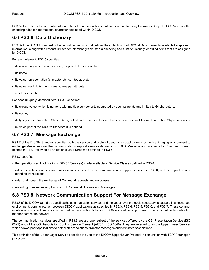<span id="page-25-0"></span>[PS3.5](part05.pdf#PS3.5) also defines the semantics of a number of generic functions that are common to many Information Objects. [PS3.5](part05.pdf#PS3.5) defines the encoding rules for international character sets used within DICOM.

### **6.6 PS3.6: Data Dictionary**

[PS3.6](part06.pdf#PS3.6) of the DICOM Standard is the centralized registry that defines the collection of all DICOM Data Elements available to represent information, along with elements utilized for interchangeable media encoding and a list of uniquely identified items that are assigned by DICOM.

For each element, [PS3.6](part06.pdf#PS3.6) specifies:

- its unique tag, which consists of a group and element number,
- its name,
- its value representation (character string, integer, etc),
- its value multiplicity (how many values per attribute),
- whether it is retired.

For each uniquely identified item, [PS3.6](part06.pdf#PS3.6) specifies:

- its unique value, which is numeric with multiple components separated by decimal points and limited to 64 characters,
- its name,
- <span id="page-25-1"></span>• its type, either Information Object Class, definition of encoding for data transfer, or certain well known Information Object Instances,
- in which part of the DICOM Standard it is defined.

#### **6.7 PS3.7: Message Exchange**

[PS3.7](part07.pdf#PS3.7) of the DICOM Standard specifies both the service and protocol used by an application in a medical imaging environment to exchange Messages over the communications support services defined in [PS3.8.](part08.pdf#PS3.8) A Message is composed of a Command Stream defined in [PS3.7](part07.pdf#PS3.7) followed by an optional Data Stream as defined in [PS3.5](part05.pdf#PS3.5).

[PS3.7](part07.pdf#PS3.7) specifies:

- the operations and notifications (DIMSE Services) made available to Service Classes defined in [PS3.4,](part04.pdf#PS3.4)
- <span id="page-25-2"></span>• rules to establish and terminate associations provided by the communications support specified in [PS3.8,](part08.pdf#PS3.8) and the impact on outstanding transactions,
- rules that govern the exchange of Command requests and responses,
- encoding rules necessary to construct Command Streams and Messages.

### **6.8 PS3.8: Network Communication Support For Message Exchange**

[PS3.8](part08.pdf#PS3.8) of the DICOM Standard specifies the communication services and the upper layer protocols necessary to support, in a networked environment, communication between DICOM applications as specified in [PS3.3](part03.pdf#PS3.3), [PS3.4,](part04.pdf#PS3.4) [PS3.5](part05.pdf#PS3.5), [PS3.6,](part06.pdf#PS3.6) and [PS3.7.](part07.pdf#PS3.7) These communication services and protocols ensure that communication between DICOM applications is performed in an efficient and coordinated manner across the network.

The communication services specified in [PS3.8](part08.pdf#PS3.8) are a proper subset of the services offered by the OSI Presentation Service (ISO 8822) and of the OSI Association Control Service Element (ACSE) (ISO 8649). They are referred to as the Upper Layer Service, which allows peer applications to establish associations, transfer messages and terminate associations.

This definition of the Upper Layer Service specifies the use of the DICOM Upper Layer Protocol in conjunction with TCP/IP transport protocols.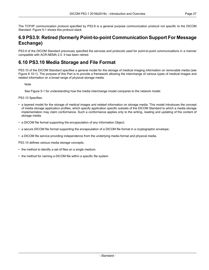<span id="page-26-0"></span>The TCP/IP communication protocol specified by [PS3.8](part08.pdf#PS3.8) is a general purpose communication protocol not specific to the DICOM Standard. [Figure](#page-21-0) 5-1 shows this protocol stack.

#### **6.9 PS3.9: Retired (formerly Point-to-point Communication Support For Message Exchange)**

<span id="page-26-1"></span>PS3.9 of the DICOM Standard previously specified the services and protocols used for point-to-point communications in a manner compatible with ACR-NEMA 2.0. It has been retired.

#### **6.10 PS3.10 Media Storage and File Format**

[PS3.10](part10.pdf#PS3.10) of the DICOM Standard specifies a general model for the storage of medical imaging information on removable media (see Figure [6.10-1\)](#page-27-1). The purpose of this Part is to provide a framework allowing the interchange of various types of medical images and related information on a broad range of physical storage media.

**Note** 

See [Figure](#page-21-0) 5-1 for understanding how the media interchange model compares to the network model.

[PS3.10](part10.pdf#PS3.10) Specifies:

- a layered model for the storage of medical images and related information on storage media. This model introduces the concept of media storage application profiles, which specify application specific subsets of the DICOM Standard to which a media storage implementation may claim conformance. Such a conformance applies only to the writing, reading and updating of the content of storage media.
- a DICOM file format supporting the encapsulation of any Information Object;
- a secure DICOM file format supporting the encapsulation of a DICOM file format in a cryptographic envelope;
- a DICOM file service providing independence from the underlying media format and physical media.

[PS3.10](part10.pdf#PS3.10) defines various media storage concepts:

- the method to identify a set of files on a single medium
- the method for naming a DICOM file within a specific file system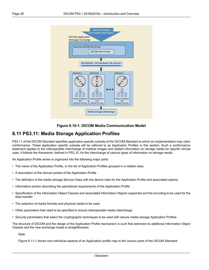<span id="page-27-1"></span>



#### <span id="page-27-0"></span>**6.11 PS3.11: Media Storage Application Profiles**

[PS3.11](part11.pdf#PS3.11) of the DICOM Standard specifies application specific subsets of the DICOM Standard to which an implementation may claim conformance. These application specific subsets will be referred to as Application Profiles in this section. Such a conformance statement applies to the interoperable interchange of medical images and related information on storage media for specific clinical uses. It follows the framework, defined in [PS3.10](part10.pdf#PS3.10), for the interchange of various types of information on storage media.

An Application Profile annex is organized into the following major parts:

- The name of the Application Profile, or the list of Application Profiles grouped in a related class
- A description of the clinical context of the Application Profile
- The definition of the media storage Service Class with the device roles for the Application Profile and associated options
- Informative section describing the operational requirements of the Application Profile
- Specification of the Information Object Classes and associated Information Objects supported and the encoding to be used for the data transfer
- The selection of media formats and physical media to be used
- Other parameters that need to be specified to ensure interoperable media interchange
- Security parameters that select the cryptographic techniques to be used with secure media storage Application Profiles

The structure of DICOM and the design of the Application Profile mechanism is such that extension to additional Information Object Classes and the new exchange media is straightforward.

**Note** 

[Figure](#page-28-4) 6.11-1 shows how individual aspects of an Application profile map to the various parts of the DICOM Standard.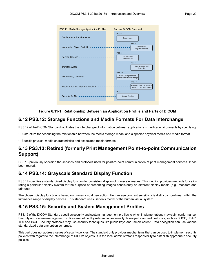<span id="page-28-4"></span>

#### **Figure 6.11-1. Relationship Between an Application Profile and Parts of DICOM**

#### <span id="page-28-0"></span>**6.12 PS3.12: Storage Functions and Media Formats For Data Interchange**

[PS3.12](part12.pdf#PS3.12) of the DICOM Standard facilitates the interchange of information between applications in medical environments by specifying:

<span id="page-28-1"></span>• A structure for describing the relationship between the media storage model and a specific physical media and media format.

• Specific physical media characteristics and associated media formats.

#### <span id="page-28-2"></span>**6.13 PS3.13: Retired (formerly Print Management Point-to-point Communication Support)**

PS3.13 previously specified the services and protocols used for point-to-point communication of print management services. It has been retired.

#### **6.14 PS3.14: Grayscale Standard Display Function**

<span id="page-28-3"></span>[PS3.14](part14.pdf#PS3.14) specifies a standardized display function for consistent display of grayscale images. This function provides methods for calibrating a particular display system for the purpose of presenting images consistently on different display media (e.g., monitors and printers).

The chosen display function is based on human visual perception. Human eye contrast sensitivity is distinctly non-linear within the luminance range of display devices. This standard uses Barten's model of the human visual system.

### **6.15 PS3.15: Security and System Management Profiles**

[PS3.15](part15.pdf#PS3.15) of the DICOM Standard specifies security and system management profiles to which implementations may claim conformance. Security and system management profiles are defined by referencing externally developed standard protocols, such as DHCP, LDAP, TLS and ISCL. Security protocols may use security techniques like public keys and "smart cards". Data encryption can use various standardized data encryption schemes.

This part does not address issues of security policies. The standard only provides mechanisms that can be used to implement security policies with regard to the interchange of DICOM objects. It is the local administrator's responsibility to establish appropriate security policies.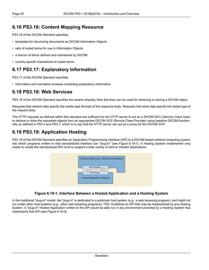#### <span id="page-29-0"></span>**6.16 PS3.16: Content Mapping Resource**

[PS3.16](part16.pdf#PS3.16) of the DICOM Standard specifies:

- templates for structuring documents as DICOM Information Objects
- sets of coded terms for use in Information Objects
- a lexicon of terms defined and maintained by DICOM
- <span id="page-29-1"></span>• country specific translations of coded terms

#### **6.17 PS3.17: Explanatory Information**

<span id="page-29-2"></span>[PS3.17](part17.pdf#PS3.17) of the DICOM Standard specifies:

• informative and normative annexes containing explanatory information

#### **6.18 PS3.18: Web Services**

[PS3.18](part18.pdf#PS3.18) of the DICOM Standard specifies the means whereby Web Services can be used for retrieving or storing a DICOM object.

Requests that retrieve data specify the media type (format) of the response body. Requests that store data specify the media type of the request body.

<span id="page-29-3"></span>The HTTP requests as defined within this standard are sufficient for the HTTP server to act as a DICOM SCU (Service Class User) to retrieve or store the requested objects from an appropriate DICOM SCP (Service Class Provider) using baseline DICOM functionality as defined in [PS3.4](part04.pdf#PS3.4) and [PS3.7,](part07.pdf#PS3.7) which is to say that the HTTP server can act as a proxy for the DICOM SCP.

### **6.19 PS3.19: Application Hosting**

<span id="page-29-4"></span>[PS3.19](part19.pdf#PS3.19) of the DICOM Standard specifies an Application Programming Interface (API) to a DICOM based medical computing system into which programs written to that standardized interface can "plug-in" (see [Figure](#page-29-4) 6.19-1). A Hosting System implementer only needs to create the standardized API once to support a wide variety of add-on Hosted Applications.



#### **Figure 6.19-1. Interface Between a Hosted Application and a Hosting System**

In the traditional "plug-in" model, the "plug-in" is dedicated to a particular host system (e.g., a web browsing program), and might not run under other host systems (e.g., other web browsing programs). [PS3.19](part19.pdf#PS3.19) defines an API that may be implemented by any Hosting System. A "plug-in" Hosted Application written to the API would be able run in any environment provided by a Hosting System that implements that API (see [Figure](#page-30-1) 6.19-2).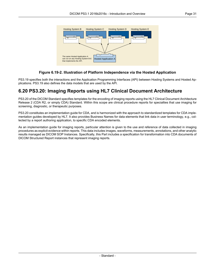<span id="page-30-1"></span>

#### **Figure 6.19-2. Illustration of Platform Independence via the Hosted Application**

<span id="page-30-0"></span>[PS3.19](part19.pdf#PS3.19) specifies both the interactions and the Application Programming Interfaces (API) between Hosting Systems and Hosted Applications. [PS3.19](part19.pdf#PS3.19) also defines the data models that are used by the API.

#### **6.20 PS3.20: Imaging Reports using HL7 Clinical Document Architecture**

[PS3.20](part20.pdf#PS3.20) of the DICOM Standard specifies templates for the encoding of imaging reports using the HL7 Clinical Document Architecture Release 2 (CDA R2, or simply CDA) Standard. Within this scope are clinical procedure reports for specialties that use imaging for screening, diagnostic, or therapeutic purposes.

[PS3.20](part20.pdf#PS3.20) constitutes an implementation guide for CDA, and is harmonized with the approach to standardized templates for CDA implementation guides developed by HL7. It also provides Business Names for data elements that link data in user terminology, e.g., collected by a report authoring application, to specific CDA encoded elements.

As an implementation guide for imaging reports, particular attention is given to the use and reference of data collected in imaging procedures as explicit evidence within reports. This data includes images, waveforms, measurements, annotations, and other analytic results managed as DICOM SOP Instances. Specifically, this Part includes a specification for transformation into CDA documents of DICOM Structured Report instances that represent imaging reports.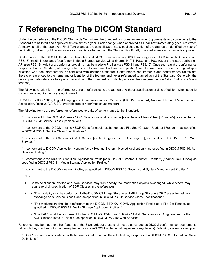# <span id="page-32-0"></span>**7 Referencing The DICOM Standard**

Under the procedures of the DICOM Standards Committee, the Standard is in constant revision. Supplements and corrections to the Standard are balloted and approved several times a year. Each change when approved as Final Text immediately goes into effect. At intervals, all of the approved Final Text changes are consolidated into a published edition of the Standard, identified by year of publication, but such publication is only a convenience to the user; the Standard is officially changed when each change is approved.

Conformance to the DICOM Standard is through specified SOP Classes using DIMSE messages (see [PS3.4](part04.pdf#PS3.4)), Web Services (see [PS3.18](part18.pdf#PS3.18)), media interchange (see Annex I "Media Storage Service Class [\(Normative\)"](part04.pdf#chapter_I) in PS3.4 and [PS3.10\)](part10.pdf#PS3.10), or the hosted application API (see [PS3.19\)](part19.pdf#PS3.19). Additional conformance claims may be made to Profiles (see [PS3.11](part11.pdf#PS3.11) and [PS3.15](part15.pdf#PS3.15)). Once such a unit of conformance is specified in the Standard, all changes thereto are forward and backward compatible (except in rare cases where the original specification was non-interoperable, or conflicted with another standard). Conformance requirements and conformance claims are therefore referenced to the name and/or identifier of the feature, and never referenced to an edition of the Standard. Generally, the only appropriate reference to a particular edition of the Standard is to identify a retired feature (see Section 1.4.2 [Continuous](#page-11-2) Main[tenance](#page-11-2)).

The following citation form is preferred for general references to the Standard, without specification of date of edition, when specific conformance requirements are not invoked:

NEMA PS3 / ISO 12052, Digital Imaging and Communications in Medicine (DICOM) Standard, National Electrical Manufacturers Association, Rosslyn, VA, USA (available free at <http://medical.nema.org/>)

The following forms are preferred for references to units of conformance to the Standard:

- "… conformant to the DICOM <name> SOP Class for network exchange [as a Service Class <User | Provider>], as specified in DICOM [PS3.4:](part04.pdf#PS3.4) Service Class Specifications."
- "… conformant to the DICOM <name> SOP Class for media exchange [as a File Set <Creator | Updater | Reader>], as specified in DICOM [PS3.4](part04.pdf#PS3.4): Service Class Specifications."
- "... conformant to the DICOM <name> Web Service [as <an Origin-server | a User-agent>], as specified in DICOM [PS3.18](part18.pdf#PS3.18): Web Services."
- "… conformant to DICOM Application Hosting [as a <Hosting System | Hosted Application>], as specified in DICOM [PS3.19:](part19.pdf#PS3.19) Application Hosting."
- "… conformant to the DICOM <identifier> Application Profile [as a File Set <Creator | Updater | Reader>] [<name> SOP Class], as specified in DICOM [PS3.11](part11.pdf#PS3.11): Media Storage Application Profiles."
- "… conformant to the DICOM <name> Profile, as specified in DICOM [PS3.15:](part15.pdf#PS3.15) Security and System Management Profiles."

Note

- 1. Some Application Profiles and Web Services may fully specify the information objects exchanged, while others may require explicit specification of SOP Classes in the references.
- 2. "The modality shall be conformant to the DICOM CT Image Storage and MR Image Storage SOP Classes for network exchange as a Service Class User, as specified in DICOM [PS3.4:](part04.pdf#PS3.4) Service Class Specifications."
	- "The workstation shall be conformant to the DICOM STD-XA1K-DVD Application Profile as a File Set Reader, as specified in DICOM [PS3.11](part11.pdf#PS3.11): Media Storage Application Profiles."
	- "The PACS shall be conformant to the DICOM WADO-RS and STOW-RS Web Services as an Origin-server for the SOP Classes listed in Table X, as specified in DICOM [PS3.18](part18.pdf#PS3.18): Web Services."

Reference may be made to other features of the Standard, but these shall not be construed as DICOM conformance requirements (although they may be conformance requirements for non-DICOM implementation guides or regulations). Following are some examples:

• "... SOP Instances in accordance with the <name> Information Object Definition, as specified in DICOM [PS3.3](part03.pdf#PS3.3): Information Object Definitions."